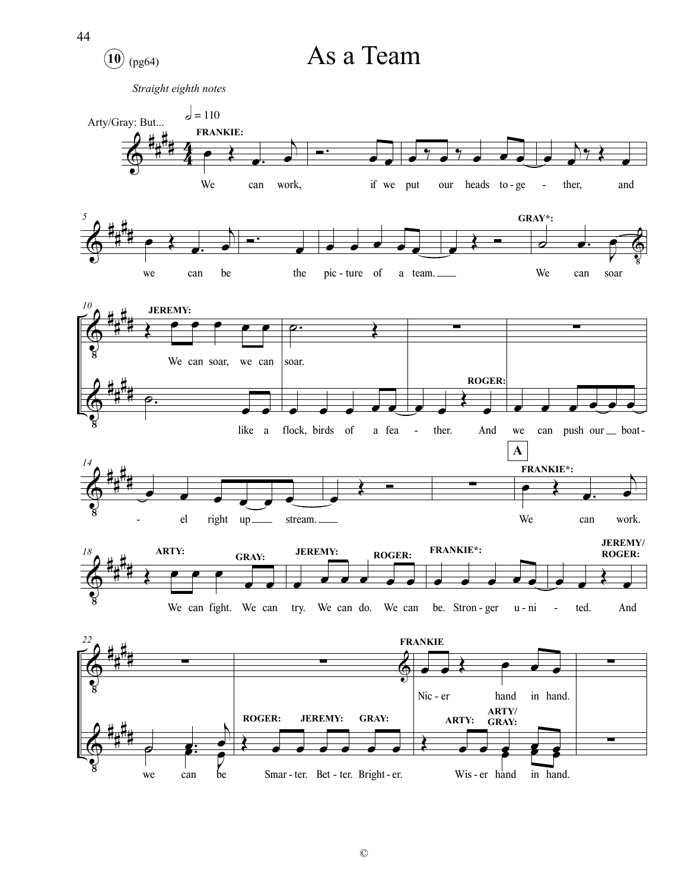

©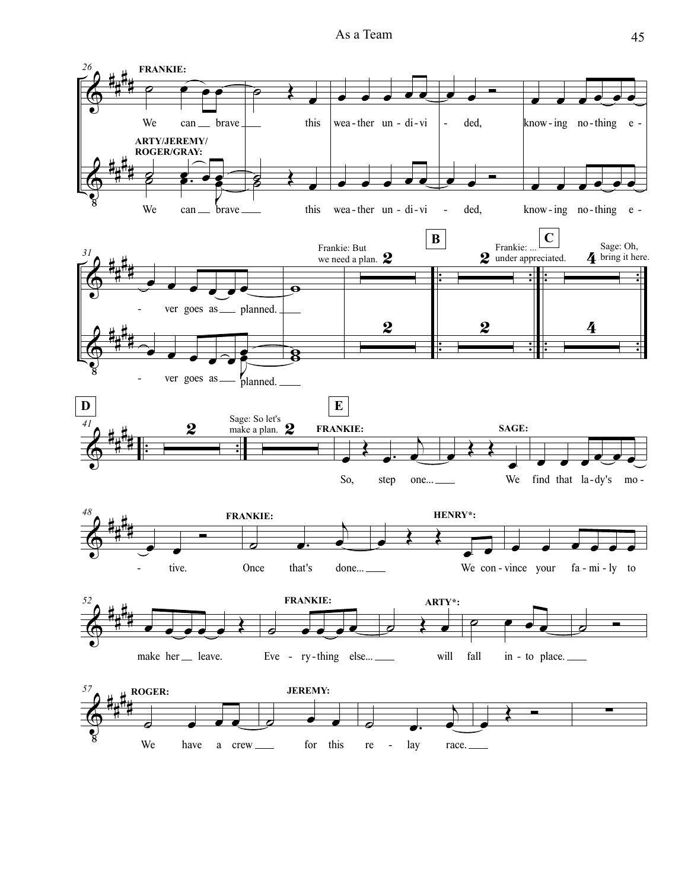As a Team 45

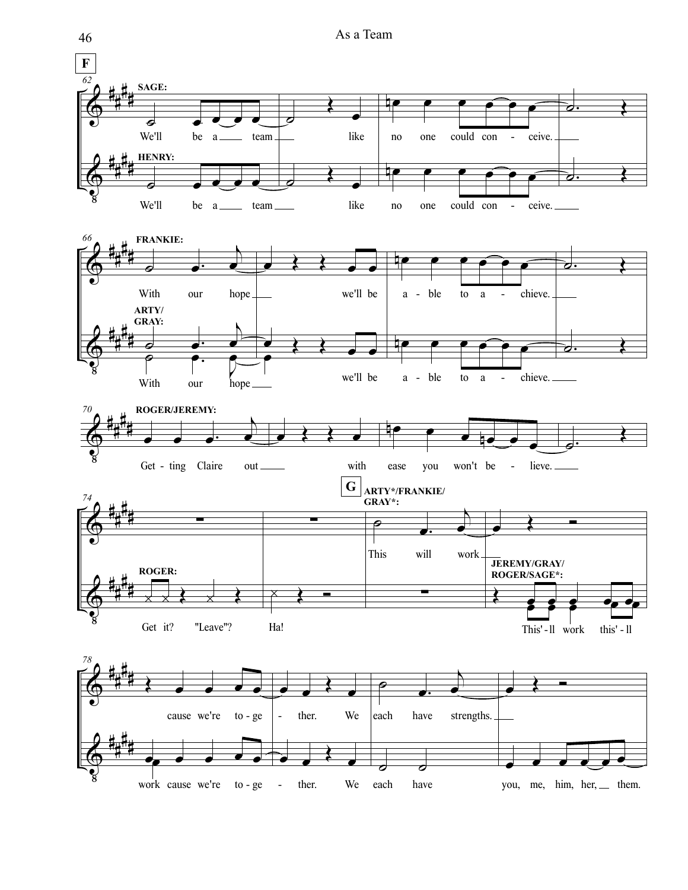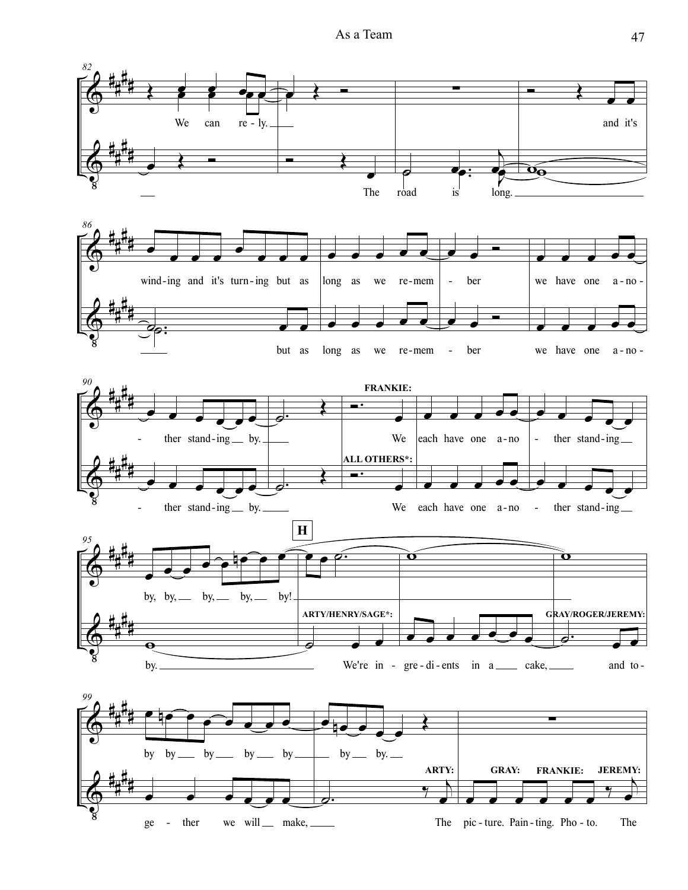As a Team 47